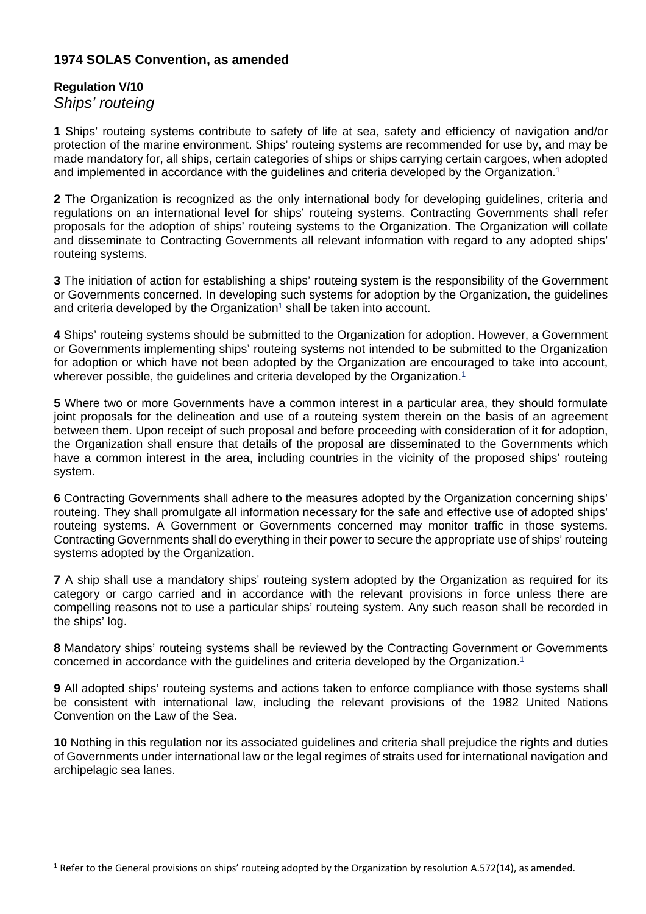## **1974 SOLAS Convention, as amended**

## **Regulation V/10** *Ships' routeing*

**1** Ships' routeing systems contribute to safety of life at sea, safety and efficiency of navigation and/or protection of the marine environment. Ships' routeing systems are recommended for use by, and may be made mandatory for, all ships, certain categories of ships or ships carrying certain cargoes, when adopted and implemented in accordance with the guidelines and criteria developed by the Organization.<sup>1</sup>

**2** The Organization is recognized as the only international body for developing guidelines, criteria and regulations on an international level for ships' routeing systems. Contracting Governments shall refer proposals for the adoption of ships' routeing systems to the Organization. The Organization will collate and disseminate to Contracting Governments all relevant information with regard to any adopted ships' routeing systems.

**3** The initiation of action for establishing a ships' routeing system is the responsibility of the Government or Governments concerned. In developing such systems for adoption by the Organization, the guidelines and criteria developed by the Organization<sup>1</sup> shall be taken into account.

**4** Ships' routeing systems should be submitted to the Organization for adoption. However, a Government or Governments implementing ships' routeing systems not intended to be submitted to the Organization for adoption or which have not been adopted by the Organization are encouraged to take into account, wherever possible, the quidelines and criteria developed by the Organization.<sup>1</sup>

**5** Where two or more Governments have a common interest in a particular area, they should formulate joint proposals for the delineation and use of a routeing system therein on the basis of an agreement between them. Upon receipt of such proposal and before proceeding with consideration of it for adoption, the Organization shall ensure that details of the proposal are disseminated to the Governments which have a common interest in the area, including countries in the vicinity of the proposed ships' routeing system.

**6** Contracting Governments shall adhere to the measures adopted by the Organization concerning ships' routeing. They shall promulgate all information necessary for the safe and effective use of adopted ships' routeing systems. A Government or Governments concerned may monitor traffic in those systems. Contracting Governments shall do everything in their power to secure the appropriate use of ships' routeing systems adopted by the Organization.

**7** A ship shall use a mandatory ships' routeing system adopted by the Organization as required for its category or cargo carried and in accordance with the relevant provisions in force unless there are compelling reasons not to use a particular ships' routeing system. Any such reason shall be recorded in the ships' log.

**8** Mandatory ships' routeing systems shall be reviewed by the Contracting Government or Governments concerned in accordance with the quidelines and criteria developed by the Organization.<sup>1</sup>

**9** All adopted ships' routeing systems and actions taken to enforce compliance with those systems shall be consistent with international law, including the relevant provisions of the 1982 United Nations Convention on the Law of the Sea.

**10** Nothing in this regulation nor its associated guidelines and criteria shall prejudice the rights and duties of Governments under international law or the legal regimes of straits used for international navigation and archipelagic sea lanes.

<sup>&</sup>lt;sup>1</sup> Refer to the General provisions on ships' routeing adopted by the Organization by resolution A.572(14), as amended.